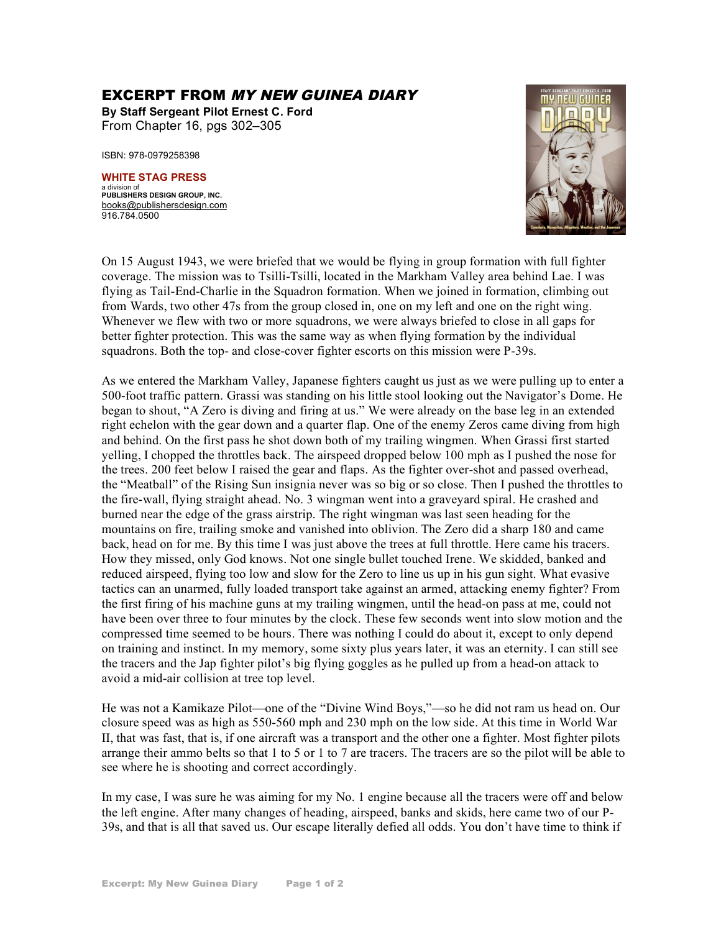## EXCERPT FROM MY NEW GUINEA DIARY

**By Staff Sergeant Pilot Ernest C. Ford** From Chapter 16, pgs 302–305

ISBN: 978-0979258398

**WHITE STAG PRESS** a division of **PUBLISHERS DESIGN GROUP, INC.** books@publishersdesign.com 916.784.0500



On 15 August 1943, we were briefed that we would be flying in group formation with full fighter coverage. The mission was to Tsilli-Tsilli, located in the Markham Valley area behind Lae. I was flying as Tail-End-Charlie in the Squadron formation. When we joined in formation, climbing out from Wards, two other 47s from the group closed in, one on my left and one on the right wing. Whenever we flew with two or more squadrons, we were always briefed to close in all gaps for better fighter protection. This was the same way as when flying formation by the individual squadrons. Both the top- and close-cover fighter escorts on this mission were P-39s.

As we entered the Markham Valley, Japanese fighters caught us just as we were pulling up to enter a 500-foot traffic pattern. Grassi was standing on his little stool looking out the Navigator's Dome. He began to shout, "A Zero is diving and firing at us." We were already on the base leg in an extended right echelon with the gear down and a quarter flap. One of the enemy Zeros came diving from high and behind. On the first pass he shot down both of my trailing wingmen. When Grassi first started yelling, I chopped the throttles back. The airspeed dropped below 100 mph as I pushed the nose for the trees. 200 feet below I raised the gear and flaps. As the fighter over-shot and passed overhead, the "Meatball" of the Rising Sun insignia never was so big or so close. Then I pushed the throttles to the fire-wall, flying straight ahead. No. 3 wingman went into a graveyard spiral. He crashed and burned near the edge of the grass airstrip. The right wingman was last seen heading for the mountains on fire, trailing smoke and vanished into oblivion. The Zero did a sharp 180 and came back, head on for me. By this time I was just above the trees at full throttle. Here came his tracers. How they missed, only God knows. Not one single bullet touched Irene. We skidded, banked and reduced airspeed, flying too low and slow for the Zero to line us up in his gun sight. What evasive tactics can an unarmed, fully loaded transport take against an armed, attacking enemy fighter? From the first firing of his machine guns at my trailing wingmen, until the head-on pass at me, could not have been over three to four minutes by the clock. These few seconds went into slow motion and the compressed time seemed to be hours. There was nothing I could do about it, except to only depend on training and instinct. In my memory, some sixty plus years later, it was an eternity. I can still see the tracers and the Jap fighter pilot's big flying goggles as he pulled up from a head-on attack to avoid a mid-air collision at tree top level.

He was not a Kamikaze Pilot—one of the "Divine Wind Boys,"—so he did not ram us head on. Our closure speed was as high as 550-560 mph and 230 mph on the low side. At this time in World War II, that was fast, that is, if one aircraft was a transport and the other one a fighter. Most fighter pilots arrange their ammo belts so that 1 to 5 or 1 to 7 are tracers. The tracers are so the pilot will be able to see where he is shooting and correct accordingly.

In my case, I was sure he was aiming for my No. 1 engine because all the tracers were off and below the left engine. After many changes of heading, airspeed, banks and skids, here came two of our P-39s, and that is all that saved us. Our escape literally defied all odds. You don't have time to think if